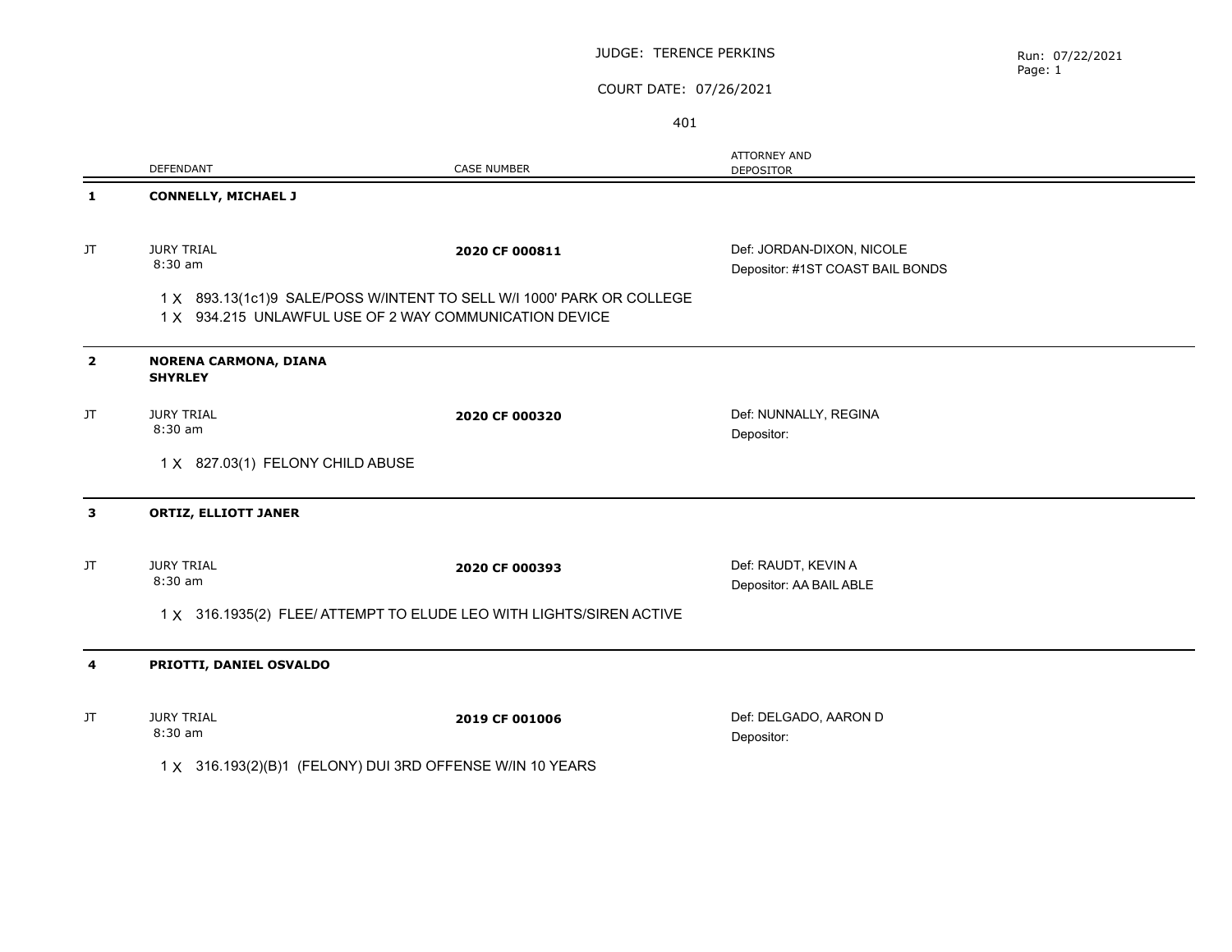#### JUDGE: TERENCE PERKINS

# COURT DATE: 07/26/2021

401

|                                                                                                                                 | DEFENDANT                                                           | <b>CASE NUMBER</b> | <b>ATTORNEY AND</b><br><b>DEPOSITOR</b>                       |  |  |
|---------------------------------------------------------------------------------------------------------------------------------|---------------------------------------------------------------------|--------------------|---------------------------------------------------------------|--|--|
| 1                                                                                                                               | <b>CONNELLY, MICHAEL J</b>                                          |                    |                                                               |  |  |
| JT                                                                                                                              | <b>JURY TRIAL</b><br>8:30 am                                        | 2020 CF 000811     | Def: JORDAN-DIXON, NICOLE<br>Depositor: #1ST COAST BAIL BONDS |  |  |
| 1 X 893.13(1c1)9 SALE/POSS W/INTENT TO SELL W/I 1000' PARK OR COLLEGE<br>1 X 934.215 UNLAWFUL USE OF 2 WAY COMMUNICATION DEVICE |                                                                     |                    |                                                               |  |  |
| $\overline{2}$                                                                                                                  | NORENA CARMONA, DIANA<br><b>SHYRLEY</b>                             |                    |                                                               |  |  |
| JT.                                                                                                                             | <b>JURY TRIAL</b><br>8:30 am                                        | 2020 CF 000320     | Def: NUNNALLY, REGINA<br>Depositor:                           |  |  |
|                                                                                                                                 | 1 X 827.03(1) FELONY CHILD ABUSE                                    |                    |                                                               |  |  |
| 3                                                                                                                               | <b>ORTIZ, ELLIOTT JANER</b>                                         |                    |                                                               |  |  |
| JT                                                                                                                              | <b>JURY TRIAL</b><br>$8:30$ am                                      | 2020 CF 000393     | Def: RAUDT, KEVIN A<br>Depositor: AA BAIL ABLE                |  |  |
|                                                                                                                                 | 1 X 316.1935(2) FLEE/ ATTEMPT TO ELUDE LEO WITH LIGHTS/SIREN ACTIVE |                    |                                                               |  |  |
| 4                                                                                                                               | PRIOTTI, DANIEL OSVALDO                                             |                    |                                                               |  |  |
| JT.                                                                                                                             | <b>JURY TRIAL</b><br>8:30 am                                        | 2019 CF 001006     | Def: DELGADO, AARON D<br>Depositor:                           |  |  |
|                                                                                                                                 | 1 X 316.193(2)(B)1 (FELONY) DUI 3RD OFFENSE W/IN 10 YEARS           |                    |                                                               |  |  |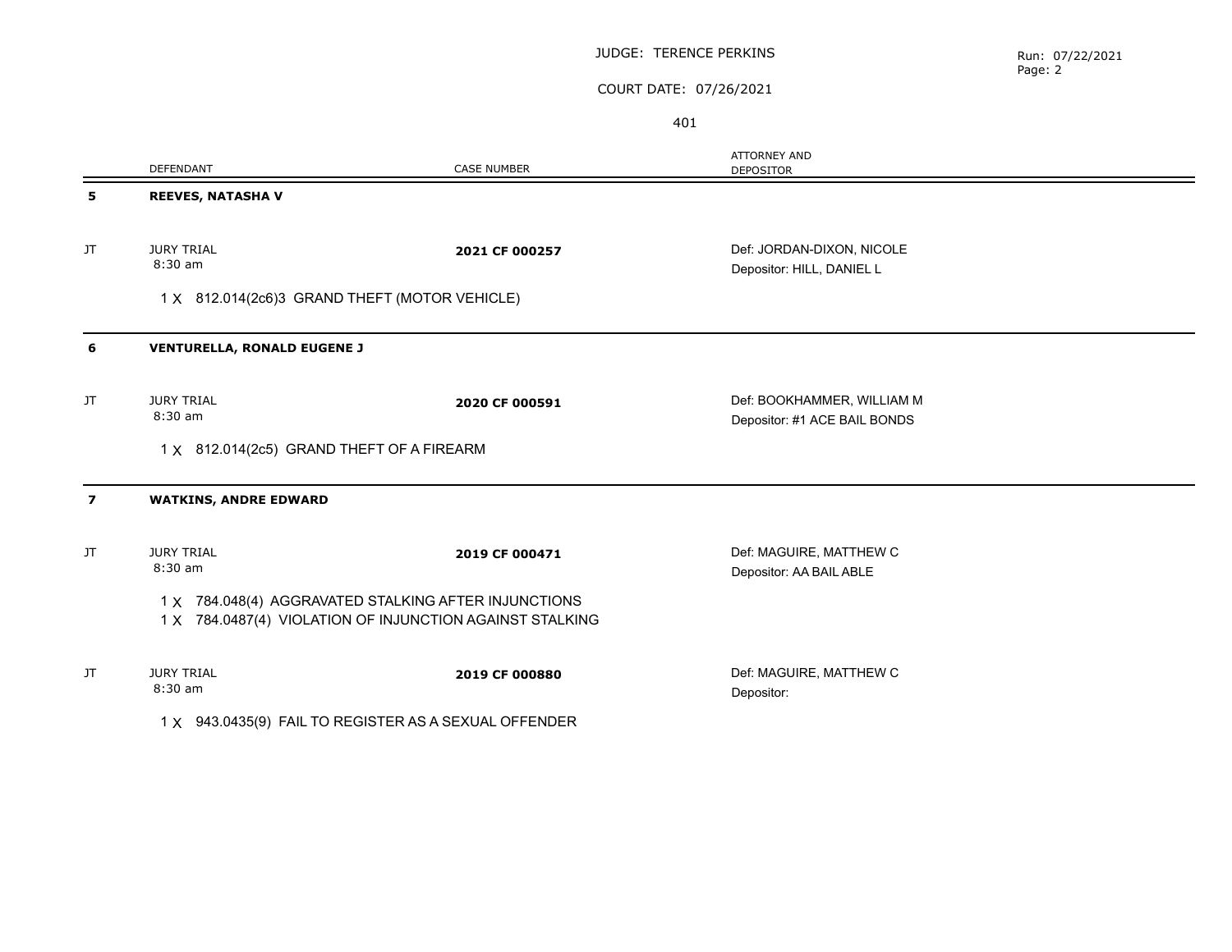#### JUDGE: TERENCE PERKINS

# COURT DATE: 07/26/2021

401

|                | <b>DEFENDANT</b>                                                                                                 | <b>CASE NUMBER</b> | <b>ATTORNEY AND</b><br><b>DEPOSITOR</b>                    |  |  |
|----------------|------------------------------------------------------------------------------------------------------------------|--------------------|------------------------------------------------------------|--|--|
| 5              | <b>REEVES, NATASHAV</b>                                                                                          |                    |                                                            |  |  |
| JT             | <b>JURY TRIAL</b><br>8:30 am                                                                                     | 2021 CF 000257     | Def: JORDAN-DIXON, NICOLE<br>Depositor: HILL, DANIEL L     |  |  |
|                | 1 X 812.014(2c6)3 GRAND THEFT (MOTOR VEHICLE)                                                                    |                    |                                                            |  |  |
| 6              | <b>VENTURELLA, RONALD EUGENE J</b>                                                                               |                    |                                                            |  |  |
| JT.            | <b>JURY TRIAL</b><br>8:30 am                                                                                     | 2020 CF 000591     | Def: BOOKHAMMER, WILLIAM M<br>Depositor: #1 ACE BAIL BONDS |  |  |
|                | 1 X 812.014(2c5) GRAND THEFT OF A FIREARM                                                                        |                    |                                                            |  |  |
| $\overline{ }$ | <b>WATKINS, ANDRE EDWARD</b>                                                                                     |                    |                                                            |  |  |
| JT.            | <b>JURY TRIAL</b><br>8:30 am                                                                                     | 2019 CF 000471     | Def: MAGUIRE, MATTHEW C<br>Depositor: AA BAIL ABLE         |  |  |
|                | 1 X 784.048(4) AGGRAVATED STALKING AFTER INJUNCTIONS<br>1 X 784.0487(4) VIOLATION OF INJUNCTION AGAINST STALKING |                    |                                                            |  |  |
| JT.            | <b>JURY TRIAL</b><br>8:30 am                                                                                     | 2019 CF 000880     | Def: MAGUIRE, MATTHEW C<br>Depositor:                      |  |  |
|                | 1 X 943.0435(9) FAIL TO REGISTER AS A SEXUAL OFFENDER                                                            |                    |                                                            |  |  |